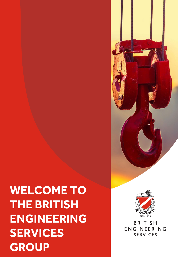# **WELCOME TO PARTNERSHIP WITH THE BRITISH ENGINEERING SERVICES GROUP**



**BRITISH ENGINEERING SERVICES**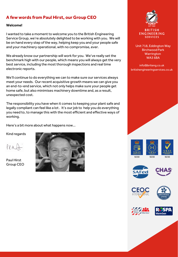#### **A few words from Paul Hirst, our Group CEO**

#### **Welcome!**

and your machinery operational, with no compromise, ever. I wanted to take a moment to welcome you to the British Engineering Service Group, we're absolutely delighted to be working with you. We will be on hand every step of the way, helping keep you and your people safe

We already know our partnership will work for you. We've really set the benchmark high with our people, which means you will always get the very best service, including the most thorough inspections and real time electronic reports.

We'll continue to do everything we can to make sure our services always meet your needs. Our recent acquisitive growth means we can give you an end-to-end service, which not only helps make sure your people get home safe, but also minimises machinery downtime and, as a result, unexpected cost.

The responsibility you have when it comes to keeping your plant safe and legally compliant can feel like a lot . It's our job to help you do everything you need to, to manage this with the most efficient and effective ways of working.

Here's a bit more about what happens now…

Kind regards

 $KPA$ 

Paul Hirst Group CEO





#### **ENGINEERING SERVICES**

Unit 718, Eddington Way Birchwood Park Warrington  $W$ A3 6BA

info@briteng.co.uk britishengineeringservices.co.uk













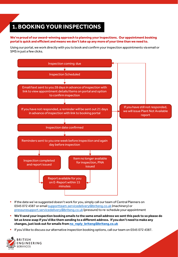## **1. BOOKING YOUR INSPECTIONS**

**We're proud of our award-winning approach to planning your inspections. Our appointment booking portal is quick and efficient and means we don't take up any more of your time than we need to.**

Using our portal, we work directly with you to book and confirm your inspection appointments via email or SMS in just a few clicks.



- **If the date we've suggested doesn't work for you, simply call our team of Central Planners on** 0345 072 4387 or email [supportteam.servicedelivery@briteng.co.uk](mailto:supportteam.servicedelivery@briteng.co.uk) (machinery) or [pressuresupport.servicedelivery@briteng.co.uk](mailto:pressuresupport.servicedelivery@briteng.co.uk) (pressure) to re-schedule your appointment
- **We'll send your inspection booking emails to the same email address we sent this pack to so please do let us know asap if you'd like them sending to a different address. If you don't need to make any changes, just look out for emails from [no\\_reply\\_briteng@briteng.co.uk](mailto:no_reply_briteng@briteng.co.uk)**
- If you'd like to discuss our alternative inspection booking options, call our team on 0345 072 4387.

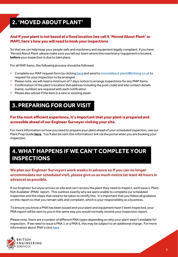# **2. 'MOVED ABOUT PLANT'**

#### **And if your plant is not based at a fixed location (we call it 'Moved About Plant' or MAP), here's how you will need to book your inspections**

So that we can help keep your people safe and machinery and equipment legally compliant, if you have 'Moved About Plant' please make sure you tell our team where this machinery/ equipment is located, **before** your inspection is due to take place.

For all MAP items, the following process should be followed:

- **Complete our MAP request form by clicking [here](https://www.britishengineeringservices.co.uk/moved-about-plant-booking-form/) and send to movedabout.plant@briteng.co.uk to** request for your inspection to be arranged
- **Please note, we will need a minimum of 7 days notice to arrange inspections for any MAP items**
- Confirmation of the plant's location (full address including the post code) and site contact details (name, number) are required with each notification
- Please also advise if the item is a new or existing asset

### **3. PREPARING FOR OUR VISIT**

#### **For the most efficient experience, it's important that your plant is prepared and accessible ahead of our Engineer Surveyor visiting your site.**

For more information on how you need to prepare your plant ahead of your scheduled inspection, see our Plant Prep Guide **[here.](https://www.britishengineeringservices.co.uk/plantprep/)** You'll also be sent this information/ link via the portal when you are booking your inspection.

### **4. WHAT HAPPENS IF WE CAN'T COMPLETE YOUR INSPECTIONS**

#### **We plan our Engineer Surveyors work weeks in advance so if you can no longer accommodate our scheduled visit, please give us as much notice (at least 48 hours in advance) as possible.**

If our Engineer Surveyor arrives on site and can't access the plant they need to inspect, we'll issue a 'Plant Not Available' (PNA) report. This outlines exactly why we were unable to complete our scheduled inspection and the steps that need to be taken to rectify this. It's important that you follow all guidance on this report so that you remain safe and compliant, which is your responsibility as a business.

To ensure you know a PNA has been issued and your plant and equipment hasn't been inspected, your PNA report will be sent to you in the same way you would normally receive your inspection report.

Please note, there are a number of different PNA types depending on why your plant wasn't available for inspection. If we need to issue a PNA 1 or a PNA 6, this may be subject to an additional charge. For more information about PNA's click [here](https://www.britishengineeringservices.co.uk/app/uploads/2021/11/PNA-guide-3.pdf)